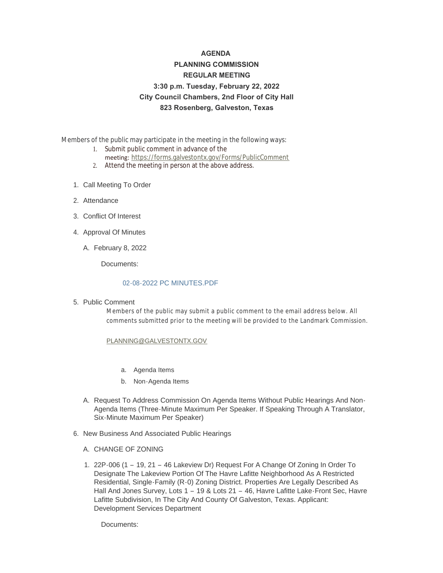# **AGENDA PLANNING COMMISSION REGULAR MEETING 3:30 p.m. Tuesday, February 22, 2022 City Council Chambers, 2nd Floor of City Hall 823 Rosenberg, Galveston, Texas**

Members of the public may participate in the meeting in the following ways:

- 1. Submit public comment in advance of the
	- meeting: <https://forms.galvestontx.gov/Forms/PublicComment>
- 2. Attend the meeting in person at the above address.
- 1. Call Meeting To Order
- 2. Attendance
- Conflict Of Interest 3.
- 4. Approval Of Minutes
	- February 8, 2022 A.

Documents:

#### [02-08-2022 PC MINUTES.PDF](https://www.galvestontx.gov/AgendaCenter/ViewFile/Item/13764?fileID=32173)

5. Public Comment

Members of the public may submit a public comment to the email address below. All comments submitted prior to the meeting will be provided to the Landmark Commission.

#### [PLANNING@GALVESTONTX.GOV](mailto:Planning@Galvestontx.gov)

- a. Agenda Items
- b. Non-Agenda Items
- A. Request To Address Commission On Agenda Items Without Public Hearings And Non-Agenda Items (Three-Minute Maximum Per Speaker. If Speaking Through A Translator, Six-Minute Maximum Per Speaker)
- 6. New Business And Associated Public Hearings
	- A. CHANGE OF ZONING
	- 22P-006 (1 19, 21 46 Lakeview Dr) Request For A Change Of Zoning In Order To 1. Designate The Lakeview Portion Of The Havre Lafitte Neighborhood As A Restricted Residential, Single-Family (R-0) Zoning District. Properties Are Legally Described As Hall And Jones Survey, Lots 1 – 19 & Lots 21 – 46, Havre Lafitte Lake-Front Sec, Havre Lafitte Subdivision, In The City And County Of Galveston, Texas. Applicant: Development Services Department

Documents: